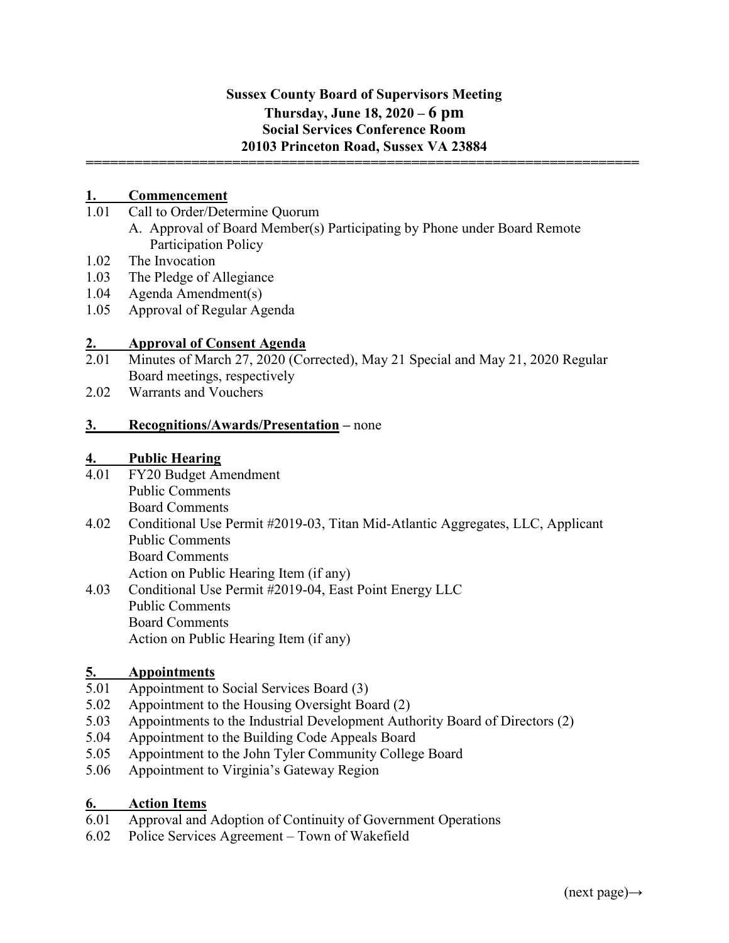### **Sussex County Board of Supervisors Meeting Thursday, June 18, 2020 – 6 pm Social Services Conference Room 20103 Princeton Road, Sussex VA 23884**

**====================================================================**

## **1. Commencement**<br>**1.01** Call to Order/Dete

- Call to Order/Determine Quorum
	- A. Approval of Board Member(s) Participating by Phone under Board Remote Participation Policy
- 1.02 The Invocation
- 1.03 The Pledge of Allegiance
- 1.04 Agenda Amendment(s)
- 1.05 Approval of Regular Agenda

### **2. Approval of Consent Agenda**

- 2.01 Minutes of March 27, 2020 (Corrected), May 21 Special and May 21, 2020 Regular Board meetings, respectively
- 2.02 Warrants and Vouchers

### **3. Recognitions/Awards/Presentation –** none

### **4. Public Hearing**

- 4.01 FY20 Budget Amendment Public Comments Board Comments
- 4.02 Conditional Use Permit #2019-03, Titan Mid-Atlantic Aggregates, LLC, Applicant Public Comments Board Comments

Action on Public Hearing Item (if any)

4.03 Conditional Use Permit #2019-04, East Point Energy LLC Public Comments Board Comments Action on Public Hearing Item (if any)

### **5. Appointments**

- 5.01 Appointment to Social Services Board (3)
- 5.02 Appointment to the Housing Oversight Board (2)
- 5.03 Appointments to the Industrial Development Authority Board of Directors (2)
- 5.04 Appointment to the Building Code Appeals Board
- 5.05 Appointment to the John Tyler Community College Board
- 5.06 Appointment to Virginia's Gateway Region

### **6. Action Items**

- 6.01 Approval and Adoption of Continuity of Government Operations
- 6.02 Police Services Agreement Town of Wakefield